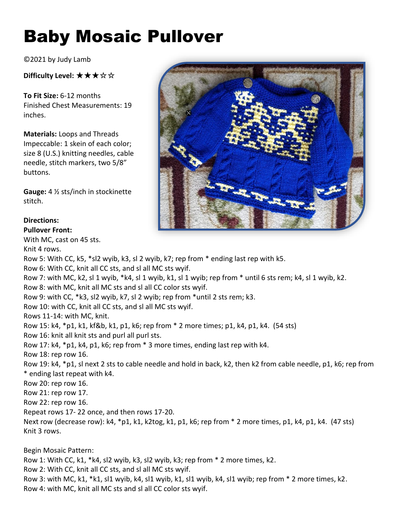## Baby Mosaic Pullover

©2021 by Judy Lamb

**Difficulty Level:** ★★★☆☆

**To Fit Size:** 6-12 months Finished Chest Measurements: 19 inches.

**Materials:** Loops and Threads Impeccable: 1 skein of each color; size 8 (U.S.) knitting needles, cable needle, stitch markers, two 5/8" buttons.

**Gauge:** 4 ½ sts/inch in stockinette stitch.

## **Directions:**

**Pullover Front:** 

With MC, cast on 45 sts.

Knit 4 rows.

Row 5: With CC, k5, \*sl2 wyib, k3, sl 2 wyib, k7; rep from \* ending last rep with k5. Row 6: With CC, knit all CC sts, and sl all MC sts wyif. Row 7: with MC, k2, sl 1 wyib, \*k4, sl 1 wyib, k1, sl 1 wyib; rep from \* until 6 sts rem; k4, sl 1 wyib, k2. Row 8: with MC, knit all MC sts and sl all CC color sts wyif. Row 9: with CC, \*k3, sl2 wyib, k7, sl 2 wyib; rep from \*until 2 sts rem; k3. Row 10: with CC, knit all CC sts, and sl all MC sts wyif. Rows 11-14: with MC, knit. Row 15: k4, \*p1, k1, kf&b, k1, p1, k6; rep from \* 2 more times; p1, k4, p1, k4. (54 sts) Row 16: knit all knit sts and purl all purl sts. Row 17: k4, \*p1, k4, p1, k6; rep from \* 3 more times, ending last rep with k4. Row 18: rep row 16. Row 19: k4, \*p1, sl next 2 sts to cable needle and hold in back, k2, then k2 from cable needle, p1, k6; rep from \* ending last repeat with k4. Row 20: rep row 16. Row 21: rep row 17. Row 22: rep row 16. Repeat rows 17- 22 once, and then rows 17-20. Next row (decrease row): k4, \*p1, k1, k2tog, k1, p1, k6; rep from \* 2 more times, p1, k4, p1, k4. (47 sts) Knit 3 rows. Begin Mosaic Pattern: Row 1: With CC, k1, \*k4, sl2 wyib, k3, sl2 wyib, k3; rep from \* 2 more times, k2.

Row 2: With CC, knit all CC sts, and sl all MC sts wyif.

Row 3: with MC, k1, \*k1, sl1 wyib, k4, sl1 wyib, k1, sl1 wyib, k4, sl1 wyib; rep from \* 2 more times, k2. Row 4: with MC, knit all MC sts and sl all CC color sts wyif.

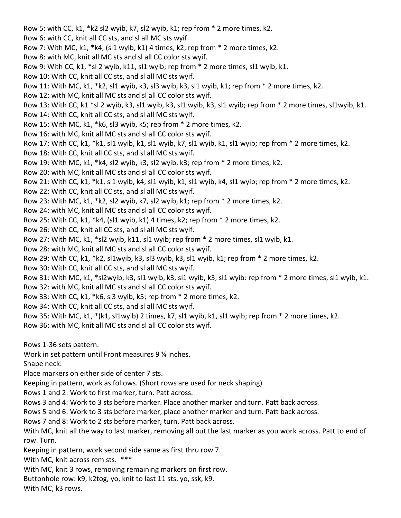Row 5: with CC, k1, \*k2 sl2 wyib, k7, sl2 wyib, k1; rep from \* 2 more times, k2. Row 6: with CC, knit all CC sts, and sl all MC sts wyif. Row 7: With MC, k1, \*k4, (sl1 wyib, k1) 4 times, k2; rep from \* 2 more times, k2. Row 8: with MC, knit all MC sts and sl all CC color sts wyif. Row 9: With CC, k1, \*sl 2 wyib, k11, sl1 wyib; rep from \* 2 more times, sl1 wyib, k1. Row 10: With CC, knit all CC sts, and sl all MC sts wyif. Row 11: With MC, k1, \*k2, sl1 wyib, k3, sl3 wyib, k3, sl1 wyib, k1; rep from \* 2 more times, k2. Row 12: with MC, knit all MC sts and sl all CC color sts wyif. Row 13: With CC, k1 \*sl 2 wyib, k3, sl1 wyib, k3, sl1 wyib, k3, sl1 wyib; rep from \* 2 more times, sl1wyib, k1. Row 14: With CC, knit all CC sts, and sl all MC sts wyif. Row 15: With MC, k1, \*k6, sl3 wyib, k5; rep from \* 2 more times, k2. Row 16: with MC, knit all MC sts and sl all CC color sts wyif. Row 17: With CC, k1, \*k1, sl1 wyib, k1, sl1 wyib, k7, sl1 wyib, k1, sl1 wyib; rep from \* 2 more times, k2. Row 18: With CC, knit all CC sts, and sl all MC sts wyif. Row 19: With MC, k1, \*k4, sl2 wyib, k3, sl2 wyib, k3; rep from \* 2 more times, k2. Row 20: with MC, knit all MC sts and sl all CC color sts wyif. Row 21: With CC, k1, \*k1, sl1 wyib, k4, sl1 wyib, k1, sl1 wyib, k4, sl1 wyib; rep from \* 2 more times, k2. Row 22: With CC, knit all CC sts, and sl all MC sts wyif. Row 23: With MC, k1, \*k2, sl2 wyib, k7, sl2 wyib, k1; rep from \* 2 more times, k2. Row 24: with MC, knit all MC sts and sl all CC color sts wyif. Row 25: With CC, k1,  $*$ k4, (sl1 wyib, k1) 4 times, k2; rep from  $*$  2 more times, k2. Row 26: With CC, knit all CC sts, and sl all MC sts wyif. Row 27: With MC, k1, \*sl2 wyib, k11, sl1 wyib; rep from \* 2 more times, sl1 wyib, k1. Row 28: with MC, knit all MC sts and sl all CC color sts wyif. Row 29: With CC, k1, \*k2, sl1wyib, k3, sl3 wyib, k3, sl1 wyib, k1; rep from \* 2 more times, k2. Row 30: With CC, knit all CC sts, and sl all MC sts wyif. Row 31: With MC, k1, \*sl2wyib, k3, sl1 wyib, k3, sl1 wyib, k3, sl1 wyib: rep from \* 2 more times, sl1 wyib, k1. Row 32: with MC, knit all MC sts and sl all CC color sts wyif. Row 33: With CC, k1, \*k6, sl3 wyib, k5; rep from \* 2 more times, k2. Row 34: With CC, knit all CC sts, and sl all MC sts wyif. Row 35: With MC, k1, \*(k1, sl1wyib) 2 times, k7, sl1 wyib, k1, sl1 wyib; rep from \* 2 more times, k2. Row 36: with MC, knit all MC sts and sl all CC color sts wyif. Rows 1-36 sets pattern. Work in set pattern until Front measures 9 ¼ inches. Shape neck:

Place markers on either side of center 7 sts.

Keeping in pattern, work as follows. (Short rows are used for neck shaping)

Rows 1 and 2: Work to first marker, turn. Patt across.

Rows 3 and 4: Work to 3 sts before marker. Place another marker and turn. Patt back across.

Rows 5 and 6: Work to 3 sts before marker, place another marker and turn. Patt back across.

Rows 7 and 8: Work to 2 sts before marker, turn. Patt back across.

With MC, knit all the way to last marker, removing all but the last marker as you work across. Patt to end of row. Turn.

Keeping in pattern, work second side same as first thru row 7.

With MC, knit across rem sts. \*\*\*

With MC, knit 3 rows, removing remaining markers on first row.

Buttonhole row: k9, k2tog, yo, knit to last 11 sts, yo, ssk, k9.

With MC, k3 rows.